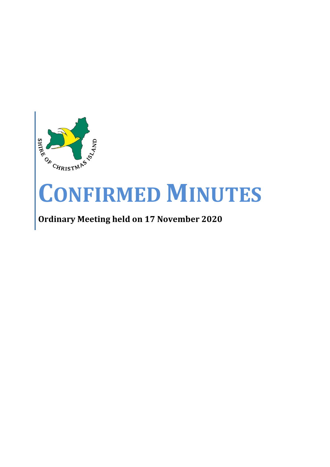

# **CONFIRMED MINUTES**

# **Ordinary Meeting held on 17 November 2020**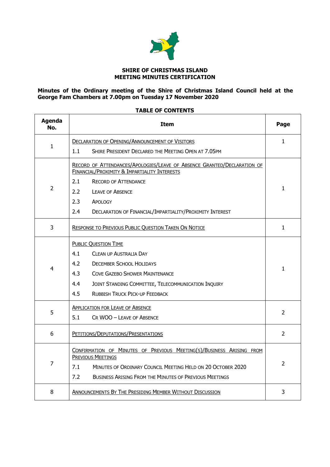

# **SHIRE OF CHRISTMAS ISLAND MEETING MINUTES CERTIFICATION**

#### **Minutes of the Ordinary meeting of the Shire of Christmas Island Council held at the George Fam Chambers at 7.00pm on Tuesday 17 November 2020**

# **TABLE OF CONTENTS**

| <b>Agenda</b><br>No. | <b>Item</b>                                                                                                                                                                                                                                                                                    |                |  |  |
|----------------------|------------------------------------------------------------------------------------------------------------------------------------------------------------------------------------------------------------------------------------------------------------------------------------------------|----------------|--|--|
|                      | <b>DECLARATION OF OPENING/ANNOUNCEMENT OF VISITORS</b>                                                                                                                                                                                                                                         | $\mathbf{1}$   |  |  |
| 1                    | 1.1<br>SHIRE PRESIDENT DECLARED THE MEETING OPEN AT 7.05PM                                                                                                                                                                                                                                     |                |  |  |
| $\overline{2}$       | RECORD OF ATTENDANCES/APOLOGIES/LEAVE OF ABSENCE GRANTED/DECLARATION OF<br>FINANCIAL/PROXIMITY & IMPARTIALITY INTERESTS<br>2.1<br><b>RECORD OF ATTENDANCE</b><br>2.2<br><b>LEAVE OF ABSENCE</b><br>2.3<br>APOLOGY<br>DECLARATION OF FINANCIAL/IMPARTIALITY/PROXIMITY INTEREST<br>$2.4^{\circ}$ | $\mathbf{1}$   |  |  |
| 3                    | <b>RESPONSE TO PREVIOUS PUBLIC QUESTION TAKEN ON NOTICE</b>                                                                                                                                                                                                                                    | $\mathbf{1}$   |  |  |
| 4                    | <b>PUBLIC QUESTION TIME</b><br>4.1<br><b>CLEAN UP AUSTRALIA DAY</b><br>4.2<br><b>DECEMBER SCHOOL HOLIDAYS</b><br>4.3<br><b>COVE GAZEBO SHOWER MAINTENANCE</b><br>4.4<br>JOINT STANDING COMMITTEE, TELECOMMUNICATION INQUIRY<br>4.5<br><b>RUBBISH TRUCK PICK-UP FEEDBACK</b>                    | $\mathbf{1}$   |  |  |
| 5                    | <b>APPLICATION FOR LEAVE OF ABSENCE</b><br>5.1<br>CR WOO - LEAVE OF ABSENCE                                                                                                                                                                                                                    | 2              |  |  |
| 6                    | PETITIONS/DEPUTATIONS/PRESENTATIONS                                                                                                                                                                                                                                                            | $\mathcal{L}$  |  |  |
| $\overline{7}$       | CONFIRMATION OF MINUTES OF PREVIOUS MEETING(S)/BUSINESS ARISING FROM<br>PREVIOUS MEETINGS<br>MINUTES OF ORDINARY COUNCIL MEETING HELD ON 20 OCTOBER 2020<br>7.1<br>7.2<br><b>BUSINESS ARISING FROM THE MINUTES OF PREVIOUS MEETINGS</b>                                                        | $\overline{2}$ |  |  |
| 8                    | <b>ANNOUNCEMENTS BY THE PRESIDING MEMBER WITHOUT DISCUSSION</b>                                                                                                                                                                                                                                | 3              |  |  |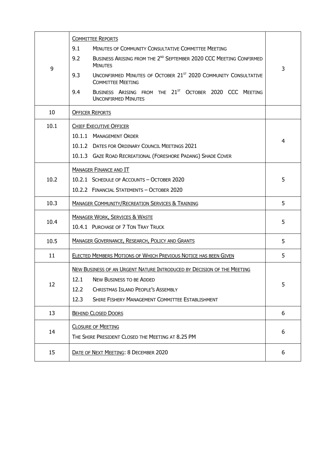|      | <b>COMMITTEE REPORTS</b>                                                                                       |   |  |  |  |  |
|------|----------------------------------------------------------------------------------------------------------------|---|--|--|--|--|
| 9    | 9.1<br>MINUTES OF COMMUNITY CONSULTATIVE COMMITTEE MEETING                                                     |   |  |  |  |  |
|      | BUSINESS ARISING FROM THE 2 <sup>ND</sup> SEPTEMBER 2020 CCC MEETING CONFIRMED<br>9.2<br><b>MINUTES</b>        |   |  |  |  |  |
|      | UNCONFIRMED MINUTES OF OCTOBER 21 <sup>ST</sup> 2020 COMMUNITY CONSULTATIVE<br>9.3<br><b>COMMITTEE MEETING</b> | 3 |  |  |  |  |
|      | BUSINESS ARISING FROM THE 21 <sup>ST</sup> OCTOBER 2020 CCC MEETING<br>9.4<br><b>UNCONFIRMED MINUTES</b>       |   |  |  |  |  |
| 10   | <b>OFFICER REPORTS</b>                                                                                         |   |  |  |  |  |
| 10.1 | <b>CHIEF EXECUTIVE OFFICER</b>                                                                                 |   |  |  |  |  |
|      | 10.1.1 MANAGEMENT ORDER                                                                                        |   |  |  |  |  |
|      | 10.1.2 DATES FOR ORDINARY COUNCIL MEETINGS 2021                                                                | 4 |  |  |  |  |
|      | 10.1.3 GAZE ROAD RECREATIONAL (FORESHORE PADANG) SHADE COVER                                                   |   |  |  |  |  |
|      | <b>MANAGER FINANCE AND IT</b>                                                                                  |   |  |  |  |  |
| 10.2 | 10.2.1 SCHEDULE OF ACCOUNTS - OCTOBER 2020                                                                     | 5 |  |  |  |  |
|      | 10.2.2 FINANCIAL STATEMENTS - OCTOBER 2020                                                                     |   |  |  |  |  |
| 10.3 | <b>MANAGER COMMUNITY/RECREATION SERVICES &amp; TRAINING</b>                                                    | 5 |  |  |  |  |
| 10.4 | <b>MANAGER WORK, SERVICES &amp; WASTE</b>                                                                      | 5 |  |  |  |  |
|      | 10.4.1 PURCHASE OF 7 TON TRAY TRUCK                                                                            |   |  |  |  |  |
| 10.5 | <b>MANAGER GOVERNANCE, RESEARCH, POLICY AND GRANTS</b>                                                         | 5 |  |  |  |  |
| 11   | ELECTED MEMBERS MOTIONS OF WHICH PREVIOUS NOTICE HAS BEEN GIVEN                                                | 5 |  |  |  |  |
|      | NEW BUSINESS OF AN URGENT NATURE INTRODUCED BY DECISION OF THE MEETING                                         |   |  |  |  |  |
| 12   | 12.1 NEW BUSINESS TO BE ADDED                                                                                  | 5 |  |  |  |  |
|      | <b>CHRISTMAS ISLAND PEOPLE'S ASSEMBLY</b><br>12.2                                                              |   |  |  |  |  |
|      | 12.3<br>SHIRE FISHERY MANAGEMENT COMMITTEE ESTABLISHMENT                                                       |   |  |  |  |  |
| 13   | <b>BEHIND CLOSED DOORS</b>                                                                                     | 6 |  |  |  |  |
|      | <b>CLOSURE OF MEETING</b>                                                                                      |   |  |  |  |  |
| 14   | THE SHIRE PRESIDENT CLOSED THE MEETING AT 8.25 PM                                                              | 6 |  |  |  |  |
| 15   | DATE OF NEXT MEETING: 8 DECEMBER 2020                                                                          | 6 |  |  |  |  |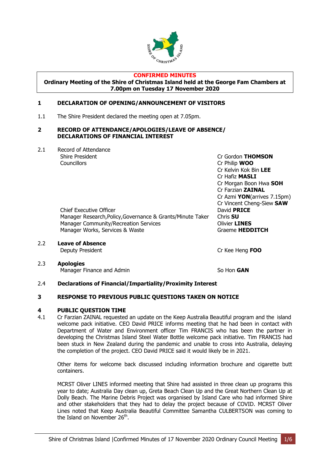

# **CONFIRMED MINUTES**

**Ordinary Meeting of the Shire of Christmas Island held at the George Fam Chambers at 7.00pm on Tuesday 17 November 2020**

# <span id="page-3-1"></span><span id="page-3-0"></span>**1 DECLARATION OF OPENING/ANNOUNCEMENT OF VISITORS**

1.1 The Shire President declared the meeting open at 7.05pm.

#### <span id="page-3-2"></span>**2 RECORD OF ATTENDANCE/APOLOGIES/LEAVE OF ABSENCE/ DECLARATIONS OF FINANCIAL INTEREST**

2.1 Record of Attendance Shire President Cr Gordon **THOMSON** Councillors Cr Philip **WOO**

Chief Executive Officer David **PRICE** Manager Research,Policy,Governance & Grants/Minute Taker Chris **SU** Manager Community/Recreation Services **Community/Recreation Services** Manager Works, Services & Waste Graeme **HEDDITCH** 

2.2 **Leave of Absence**

Deputy President Cr Kee Heng **FOO**

Cr Kelvin Kok Bin **LEE** Cr Hafiz **MASLI**

Cr Farzian **ZAINAL**

Cr Morgan Boon Hwa **SOH**

Cr Azmi **YON**(arrives 7.15pm) Cr Vincent Cheng-Siew **SAW**

2.3 **Apologies** Manager Finance and Admin So Hon **GAN** 

# 2.4 **Declarations of Financial/Impartiality/Proximity Interest**

# <span id="page-3-3"></span>**3 RESPONSE TO PREVIOUS PUBLIC QUESTIONS TAKEN ON NOTICE**

#### <span id="page-3-4"></span>**4 PUBLIC QUESTION TIME**

4.1 Cr Farzian ZAINAL requested an update on the Keep Australia Beautiful program and the island welcome pack initiative. CEO David PRICE informs meeting that he had been in contact with Department of Water and Environment officer Tim FRANCIS who has been the partner in developing the Christmas Island Steel Water Bottle welcome pack initiative. Tim FRANCIS had been stuck in New Zealand during the pandemic and unable to cross into Australia, delaying the completion of the project. CEO David PRICE said it would likely be in 2021.

Other items for welcome back discussed including information brochure and cigarette butt containers.

MCRST Oliver LINES informed meeting that Shire had assisted in three clean up programs this year to date; Australia Day clean up, Greta Beach Clean Up and the Great Northern Clean Up at Dolly Beach. The Marine Debris Project was organised by Island Care who had informed Shire and other stakeholders that they had to delay the project because of COVID. MCRST Oliver Lines noted that Keep Australia Beautiful Committee Samantha CULBERTSON was coming to the Island on November 26<sup>th</sup>.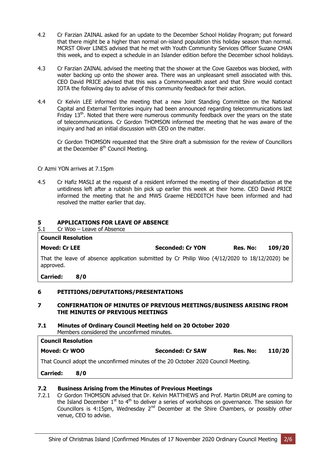- 4.2 Cr Farzian ZAINAL asked for an update to the December School Holiday Program; put forward that there might be a higher than normal on-island population this holiday season than normal. MCRST Oliver LINES advised that he met with Youth Community Services Officer Suzane CHAN this week, and to expect a schedule in an Islander edition before the December school holidays.
- 4.3 Cr Farzian ZAINAL advised the meeting that the shower at the Cove Gazebos was blocked, with water backing up onto the shower area. There was an unpleasant smell associated with this. CEO David PRICE advised that this was a Commonwealth asset and that Shire would contact IOTA the following day to advise of this community feedback for their action.
- 4.4 Cr Kelvin LEE informed the meeting that a new Joint Standing Committee on the National Capital and External Territories inquiry had been announced regarding telecommunications last Friday  $13<sup>th</sup>$ . Noted that there were numerous community feedback over the years on the state of telecommunications. Cr Gordon THOMSON informed the meeting that he was aware of the inquiry and had an initial discussion with CEO on the matter.

Cr Gordon THOMSON requested that the Shire draft a submission for the review of Councillors at the December 8<sup>th</sup> Council Meeting.

Cr Azmi YON arrives at 7.15pm

4.5 Cr Hafiz MASLI at the request of a resident informed the meeting of their dissatisfaction at the untidiness left after a rubbish bin pick up earlier this week at their home. CEO David PRICE informed the meeting that he and MWS Graeme HEDDITCH have been informed and had resolved the matter earlier that day.

# <span id="page-4-0"></span>**5 APPLICATIONS FOR LEAVE OF ABSENCE**

5.1 Cr Woo – Leave of Absence **Council Resolution Moved: Cr LEE Seconded: Cr YON Res. No: 109/20** That the leave of absence application submitted by Cr Philip Woo (4/12/2020 to 18/12/2020) be approved. **Carried: 8/0**

# <span id="page-4-1"></span>**6 PETITIONS/DEPUTATIONS/PRESENTATIONS**

# <span id="page-4-2"></span>**7 CONFIRMATION OF MINUTES OF PREVIOUS MEETINGS/BUSINESS ARISING FROM THE MINUTES OF PREVIOUS MEETINGS**

#### **7.1 Minutes of Ordinary Council Meeting held on 20 October 2020** Members considered the unconfirmed minutes.

| <b>Council Resolution</b> |                         |          |        |
|---------------------------|-------------------------|----------|--------|
| Moved: Cr WOO             | <b>Seconded: Cr SAW</b> | Res. No: | 110/20 |

That Council adopt the unconfirmed minutes of the 20 October 2020 Council Meeting.

**Carried: 8/0**

# **7.2 Business Arising from the Minutes of Previous Meetings**

7.2.1 Cr Gordon THOMSON advised that Dr. Kelvin MATTHEWS and Prof. Martin DRUM are coming to the Island December  $1^{st}$  to  $4^{th}$  to deliver a series of workshops on governance. The session for Councillors is 4:15pm, Wednesday  $2^{nd}$  December at the Shire Chambers, or possibly other venue, CEO to advise.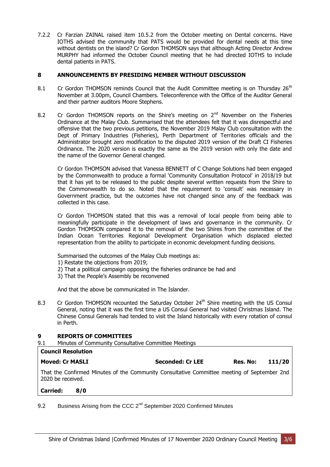7.2.2 Cr Farzian ZAINAL raised item 10.5.2 from the October meeting on Dental concerns. Have IOTHS advised the community that PATS would be provided for dental needs at this time without dentists on the island? Cr Gordon THOMSON says that although Acting Director Andrew MURPHY had informed the October Council meeting that he had directed IOTHS to include dental patients in PATS.

# <span id="page-5-0"></span>**8 ANNOUNCEMENTS BY PRESIDING MEMBER WITHOUT DISCUSSION**

- 8.1 Cr Gordon THOMSON reminds Council that the Audit Committee meeting is on Thursday 26<sup>th</sup> November at 3.00pm, Council Chambers. Teleconference with the Office of the Auditor General and their partner auditors Moore Stephens.
- 8.2 Cr Gordon THOMSON reports on the Shire's meeting on  $2<sup>nd</sup>$  November on the Fisheries Ordinance at the Malay Club. Summarised that the attendees felt that it was disrespectful and offensive that the two previous petitions, the November 2019 Malay Club consultation with the Dept of Primary Industries (Fisheries), Perth Department of Territories officials and the Administrator brought zero modification to the disputed 2019 version of the Draft CI Fisheries Ordinance. The 2020 version is exactly the same as the 2019 version with only the date and the name of the Governor General changed.

Cr Gordon THOMSON advised that Vanessa BENNETT of C Change Solutions had been engaged by the Commonwealth to produce a formal 'Community Consultation Protocol' in 2018/19 but that it has yet to be released to the public despite several written requests from the Shire to the Commonwealth to do so. Noted that the requirement to 'consult' was necessary in Government practice, but the outcomes have not changed since any of the feedback was collected in this case.

Cr Gordon THOMSON stated that this was a removal of local people from being able to meaningfully participate in the development of laws and governance in the community. Cr Gordon THOMSON compared it to the removal of the two Shires from the committee of the Indian Ocean Territories Regional Development Organisation which displaced elected representation from the ability to participate in economic development funding decisions.

Summarised the outcomes of the Malay Club meetings as:

- 1) Restate the objections from 2019;
- 2) That a political campaign opposing the fisheries ordinance be had and
- 3) That the People's Assembly be reconvened

And that the above be communicated in The Islander.

8.3 Cr Gordon THOMSON recounted the Saturday October 24<sup>th</sup> Shire meeting with the US Consul General, noting that it was the first time a US Consul General had visited Christmas Island. The Chinese Consul Generals had tended to visit the Island historically with every rotation of consul in Perth.

# <span id="page-5-1"></span>**9 REPORTS OF COMMITTEES**

9.1 Minutes of Community Consultative Committee Meetings

| Council Resolution     |                                                                                             |                  |          |        |
|------------------------|---------------------------------------------------------------------------------------------|------------------|----------|--------|
| <b>Moved: Cr MASLI</b> |                                                                                             | Seconded: Cr LEE | Res. No: | 111/20 |
| 2020 be received.      | That the Confirmed Minutes of the Community Consultative Committee meeting of September 2nd |                  |          |        |
| <b>Carried:</b>        | 8/0                                                                                         |                  |          |        |

9.2 Business Arising from the CCC  $2^{nd}$  September 2020 Confirmed Minutes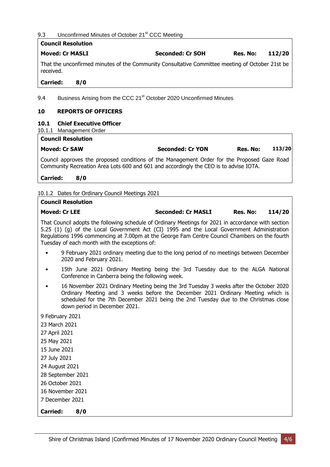# 9.3 Unconfirmed Minutes of October 21<sup>st</sup> CCC Meeting

|                        | <b>Council Resolution</b>                                                                       |                         |          |        |
|------------------------|-------------------------------------------------------------------------------------------------|-------------------------|----------|--------|
| <b>Moved: Cr MASLI</b> |                                                                                                 | <b>Seconded: Cr SOH</b> | Res. No: | 112/20 |
| received.              | That the unconfirmed minutes of the Community Consultative Committee meeting of October 21st be |                         |          |        |
| <b>Carried:</b>        | 8/0                                                                                             |                         |          |        |
| 9.4                    | Business Arising from the CCC 21 <sup>st</sup> October 2020 Unconfirmed Minutes                 |                         |          |        |
| 10                     | <b>REPORTS OF OFFICERS</b>                                                                      |                         |          |        |
| 10.1<br>10.1.1         | <b>Chief Executive Officer</b><br>Management Order                                              |                         |          |        |
|                        | <b>Council Resolution</b>                                                                       |                         |          |        |

<span id="page-6-0"></span>

| <b>Moved: Cr SAW</b> |  |  |  | <b>Seconded: Cr YON</b> | Res. No: | 113/20 |  |
|----------------------|--|--|--|-------------------------|----------|--------|--|
|                      |  |  |  | .                       |          |        |  |

Council approves the proposed conditions of the Management Order for the Proposed Gaze Road Community Recreation Area Lots 600 and 601 and accordingly the CEO is to advise IOTA.

**Carried: 8/0**

10.1.2 Dates for Ordinary Council Meetings 2021

# **Council Resolution Moved: Cr LEE Seconded: Cr MASLI Res. No: 114/20**

That Council adopts the following schedule of Ordinary Meetings for 2021 in accordance with section 5.25 (1) (g) of the Local Government Act (CI) 1995 and the Local Government Administration Regulations 1996 commencing at 7.00pm at the George Fam Centre Council Chambers on the fourth Tuesday of each month with the exceptions of:

- 9 February 2021 ordinary meeting due to the long period of no meetings between December 2020 and February 2021.
- 15th June 2021 Ordinary Meeting being the 3rd Tuesday due to the ALGA National Conference in Canberra being the following week.
- 16 November 2021 Ordinary Meeting being the 3rd Tuesday 3 weeks after the October 2020 Ordinary Meeting and 3 weeks before the December 2021 Ordinary Meeting which is scheduled for the 7th December 2021 being the 2nd Tuesday due to the Christmas close down period in December 2021.
- 9 February 2021 23 March 2021 27 April 2021 25 May 2021 15 June 2021 27 July 2021 24 August 2021 28 September 2021 26 October 2021 16 November 2021 7 December 2021

**Carried: 8/0**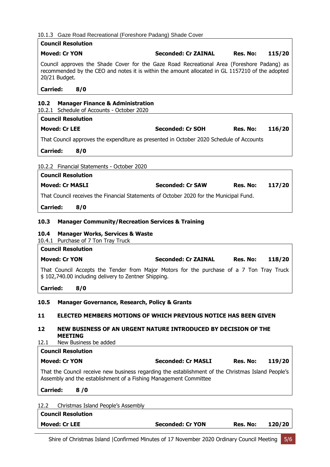# 10.1.3 Gaze Road Recreational (Foreshore Padang) Shade Cover

<span id="page-7-5"></span><span id="page-7-4"></span><span id="page-7-3"></span><span id="page-7-2"></span><span id="page-7-1"></span><span id="page-7-0"></span>

|                 | <b>Council Resolution</b> | 10.1.5 Gaze Road Recreational (Foreshore Padang) Shade Cover                                                                                                                                  |          |        |
|-----------------|---------------------------|-----------------------------------------------------------------------------------------------------------------------------------------------------------------------------------------------|----------|--------|
|                 | <b>Moved: Cr YON</b>      | <b>Seconded: Cr ZAINAL</b>                                                                                                                                                                    | Res. No: | 115/20 |
|                 | 20/21 Budget.             | Council approves the Shade Cover for the Gaze Road Recreational Area (Foreshore Padang) as<br>recommended by the CEO and notes it is within the amount allocated in GL 1157210 of the adopted |          |        |
| <b>Carried:</b> | 8/0                       |                                                                                                                                                                                               |          |        |
| 10.2            |                           | <b>Manager Finance &amp; Administration</b>                                                                                                                                                   |          |        |
|                 |                           | 10.2.1 Schedule of Accounts - October 2020                                                                                                                                                    |          |        |
|                 | <b>Council Resolution</b> |                                                                                                                                                                                               |          |        |
|                 | <b>Moved: Cr LEE</b>      | <b>Seconded: Cr SOH</b>                                                                                                                                                                       | Res. No: | 116/20 |
|                 |                           | That Council approves the expenditure as presented in October 2020 Schedule of Accounts                                                                                                       |          |        |
| <b>Carried:</b> | 8/0                       |                                                                                                                                                                                               |          |        |
|                 |                           | 10.2.2 Financial Statements - October 2020                                                                                                                                                    |          |        |
|                 | <b>Council Resolution</b> |                                                                                                                                                                                               |          |        |
|                 | <b>Moved: Cr MASLI</b>    | <b>Seconded: Cr SAW</b>                                                                                                                                                                       | Res. No: | 117/20 |
|                 |                           | That Council receives the Financial Statements of October 2020 for the Municipal Fund.                                                                                                        |          |        |
| <b>Carried:</b> | 8/0                       |                                                                                                                                                                                               |          |        |
|                 |                           |                                                                                                                                                                                               |          |        |
| 10.3            |                           | <b>Manager Community/Recreation Services &amp; Training</b>                                                                                                                                   |          |        |
| 10.4            |                           | <b>Manager Works, Services &amp; Waste</b><br>10.4.1 Purchase of 7 Ton Tray Truck                                                                                                             |          |        |
|                 | <b>Council Resolution</b> |                                                                                                                                                                                               |          |        |
|                 | <b>Moved: Cr YON</b>      | <b>Seconded: Cr ZAINAL</b>                                                                                                                                                                    | Res. No: | 118/20 |
|                 |                           | That Council Accepts the Tender from Major Motors for the purchase of a 7 Ton Tray Truck<br>\$102,740.00 including delivery to Zentner Shipping.                                              |          |        |
| <b>Carried:</b> | 8/0                       |                                                                                                                                                                                               |          |        |
| 10.5            |                           | <b>Manager Governance, Research, Policy &amp; Grants</b>                                                                                                                                      |          |        |
|                 |                           |                                                                                                                                                                                               |          |        |
| 11              |                           | ELECTED MEMBERS MOTIONS OF WHICH PREVIOUS NOTICE HAS BEEN GIVEN                                                                                                                               |          |        |
| 12              | <b>MEETING</b>            | NEW BUSINESS OF AN URGENT NATURE INTRODUCED BY DECISION OF THE                                                                                                                                |          |        |
| 12.1            | New Business be added     |                                                                                                                                                                                               |          |        |
|                 | <b>Council Resolution</b> |                                                                                                                                                                                               |          |        |
|                 | <b>Moved: Cr YON</b>      | <b>Seconded: Cr MASLI</b>                                                                                                                                                                     | Res. No: | 119/20 |
|                 |                           | That the Council receive new business regarding the establishment of the Christmas Island People's<br>Assembly and the establishment of a Fishing Management Committee                        |          |        |
| <b>Carried:</b> | 8/0                       |                                                                                                                                                                                               |          |        |
| 12.2            |                           | Christmas Island People's Assembly                                                                                                                                                            |          |        |
|                 | <b>Council Resolution</b> |                                                                                                                                                                                               |          |        |
|                 | <b>Moved: Cr LEE</b>      | <b>Seconded: Cr YON</b>                                                                                                                                                                       | Res. No: | 120/20 |
|                 |                           |                                                                                                                                                                                               |          |        |